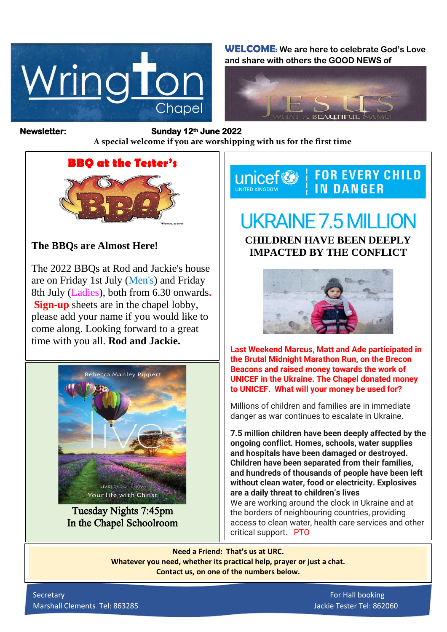

**WELCOME: We are here to celebrate God's Love and share with others the GOOD NEWS of**



*Figure 1ready steady* **A special welcome if you are worshipping with us for the first time Newsletter: Sunday 12th June 2022** 

## **BBQ at the Tester's**

## **The BBQs are Almost Here!**

The 2022 BBQs at Rod and Jackie's house are on Friday 1st July (Men's) and Friday 8th July (Ladies), both from 6.30 onwards**. Sign-up** sheets are in the chapel lobby, please add your name if you would like to come along. Looking forward to a great time with you all. **Rod and Jackie.**



Tuesday Nights 7:45pm In the Chapel Schoolroom

**FOR EVERY CHILD** unicef<sup>®</sup> **IN DANGER** UNITED KINGDOM

## UKRAINE 7.5 MILLION **CHILDREN HAVE BEEN DEEPLY IMPACTED BY THE CONFLICT**



**Last Weekend Marcus, Matt and Ade participated in the Brutal Midnight Marathon Run, on the Brecon Beacons and raised money towards the work of UNICEF in the Ukraine. The Chapel donated money to UNICEF. What will your money be used for?**

Millions of children and families are in immediate danger as war continues to escalate in Ukraine.

**7.5 million children have been deeply affected by the ongoing conflict. Homes, schools, water supplies and hospitals have been damaged or destroyed. Children have been separated from their families, and hundreds of thousands of people have been left without clean water, food or electricity. Explosives are a daily threat to children's lives** We are working around the clock in Ukraine and at the borders of neighbouring countries, providing access to clean water, health care services and other critical support. PTO

**Need a Friend: That's us at URC. Whatever you need, whether its practical help, prayer or just a chat. Contact us, on one of the numbers below.**

Secretary For Hall booking Marshall Clements Tel: 863285 Jackie Tester Tel: 862060